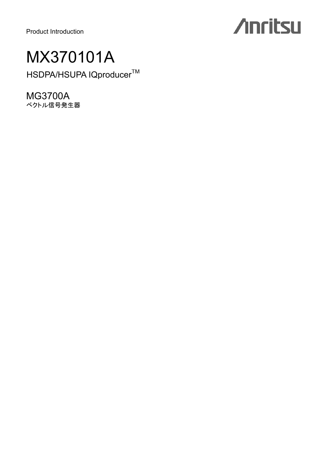Product Introduction

# **Anritsu**

### MX370101A

HSDPA/HSUPA lQproducer™

MG3700A ベクトル信号発生器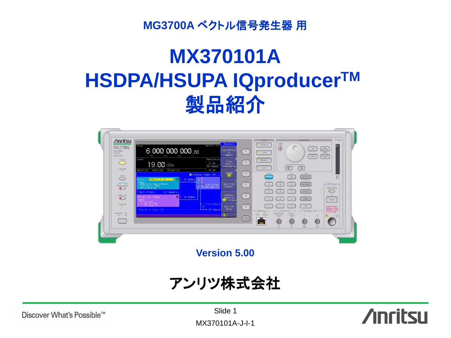**MG3700A** ベクトル信号発生器 用

## **MX370101A HSDPA/HSUPA IQproducerTM** 製品紹介



**Version 5.00**

アンリツ株式会社



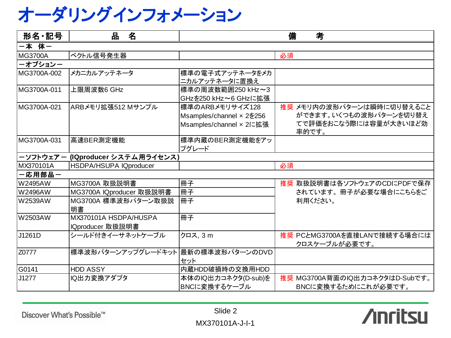オーダリングインフォメーション

| 形名·記号          | 品<br>名                              | 備<br>考                   |                                               |
|----------------|-------------------------------------|--------------------------|-----------------------------------------------|
| 一本 体一          |                                     |                          |                                               |
| <b>MG3700A</b> | ベクトル信号発生器                           |                          | 必須                                            |
| ーオプションー        |                                     |                          |                                               |
| MG3700A-002    | メカニカルアッテネータ                         | 標準の電子式アッテネータをメカ          |                                               |
|                |                                     | ニカルアッテネータに置換え            |                                               |
| MG3700A-011    | 上限周波数6 GHz                          | 標準の周波数範囲250 kHz~3        |                                               |
|                |                                     | GHzを250 kHz~6 GHzに拡張     |                                               |
| MG3700A-021    | ARBメモリ拡張512 Mサンプル                   | 標準のARBメモリサイズ128          | 推奨 メモリ内の波形パターンは瞬時に切り替えること                     |
|                |                                     | Msamples/channel x 2を256 | ができます。いくつもの波形パターンを切り替え                        |
|                |                                     | Msamples/channel × 2に拡張  | てで評価をおこなう際には容量が大きいほど効<br>率的です。                |
| MG3700A-031    | 高速BER測定機能                           | 標準内蔵のBER測定機能をアッ          |                                               |
|                |                                     | プグレード                    |                                               |
| ーソフトウェアー       | (IQproducer システム用ライセンス)             |                          |                                               |
| MX370101A      | <b>HSDPA/HSUPA IQproducer</b>       |                          | 必須                                            |
| 一応用部品一         |                                     |                          |                                               |
| <b>W2495AW</b> | MG3700A 取扱説明書                       | 冊子                       | 推奨 取扱説明書は各ソフトウェアのCDにPDFで保存                    |
| <b>W2496AW</b> | MG3700A IQproducer 取扱説明書            | 冊子                       | されています。冊子が必要な場合にこちらをご                         |
| <b>W2539AW</b> | MG3700A 標準波形パターン取扱説                 | 冊子                       | 利用ください。                                       |
|                | 明書                                  |                          |                                               |
| W2503AW        | MX370101A HSDPA/HUSPA               | 冊子                       |                                               |
|                | IQproducer 取扱説明書                    |                          |                                               |
| J1261D         | シールド付きイーサネットケーブル                    | クロス, 3 m                 | 推奨 PCとMG3700Aを直接LANで接続する場合には<br>クロスケーブルが必要です。 |
| Z0777          | 標準波形パターンアップグレードキット  最新の標準波形パターンのDVD |                          |                                               |
|                |                                     | セット                      |                                               |
| G0141          | <b>HDD ASSY</b>                     | 内蔵HDD破損時の交換用HDD          |                                               |
| J1277          | IQ出力変換アダプタ                          | 本体のIQ出力コネクタ(D-sub)を      | 推奨 MG3700A背面のIQ出力コネクタはD-Subです。                |
|                |                                     | BNCに変換するケーブル             | BNCに変換するためにこれが必要です。                           |

Discover What's Possible™

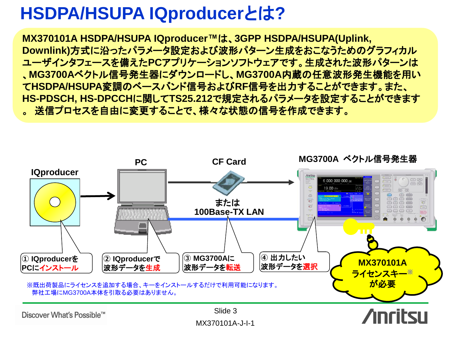### **HSDPA/HSUPA IQproducer**とは**?**

**MX370101A HSDPA/HSUPA IQproducer™**は、**3GPP HSDPA/HSUPA(Uplink, Downlink)**方式に沿ったパラメータ設定および波形パターン生成をおこなうためのグラフィカル ユーザインタフェースを備えた**PC**アプリケーションソフトウェアです。生成された波形パターンは 、**MG3700A**ベクトル信号発生器にダウンロードし、**MG3700A**内蔵の任意波形発生機能を用い て**HSDPA/HSUPA**変調のベースバンド信号および**RF**信号を出力することができます。また、 **HS-PDSCH, HS-DPCCH**に関して**TS25.212**で規定されるパラメータを設定することができます 。送信プロセスを自由に変更することで、様々な状態の信号を作成できます。

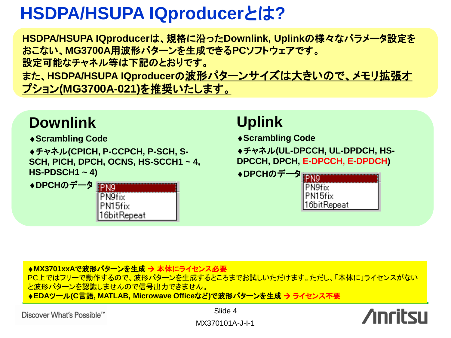### **HSDPA/HSUPA IQproducer**とは**?**

**HSDPA/HSUPA IQproducer**は、規格に沿った**Downlink, Uplink**の様々なパラメータ設定を おこない、**MG3700A**用波形パターンを生成できる**PC**ソフトウェアです。 設定可能なチャネル等は下記のとおりです。 また、**HSDPA/HSUPA IQproducer**の波形パターンサイズは大きいので、メモリ拡張オ プション**(MG3700A-021)**を推奨いたします。

#### **Downlink**

**Scrambling Code**

チャネル**(CPICH, P-CCPCH, P-SCH, S-SCH, PICH, DPCH, OCNS, HS-SCCH1 ~ 4, HS-PDSCH1 ~ 4)**

◆DPCHのデータ FFND



#### **Uplink**

**Scrambling Code**

チャネル**(UL-DPCCH, UL-DPDCH, HS-DPCCH, DPCH, E-DPCCH, E-DPDCH)**

◆DPCHのデータ **IPN9 PN9fix** PN15fix 16bitRepeat

#### <mark>◆MX3701xxAで波形パターンを生成 → 本体にライセンス必要</mark>

PC上ではフリーで動作するので、波形パターンを生成するところまでお試しいただけます。ただし、「本体に」ライセンスがない と波形パターンを認識しませんので信号出力できません。

**EDA**ツール**(C**言語**, MATLAB, Microwave Office**など**)**で波形パターンを生成 ライセンス不要

Slide 4



MX370101A-J-I-1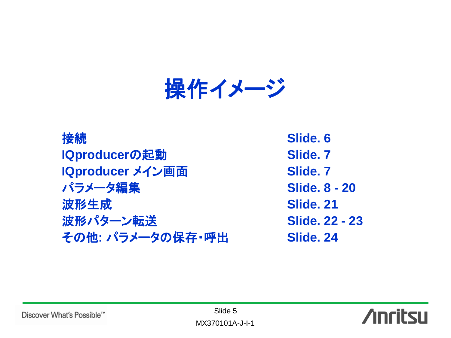操作イメージ

**接続** Slide. 6 **IQproducerの起動 Slide. 7 IQproducer メイン画面 Slide. 7** パラメータ編集 **Slide. 8 - 20 波形生成 Slide. 21** 波形パターン転送 **Slide. 22 - 23** その他**:** パラメータの保存・呼出 **Slide. 24**



Discover What's Possible™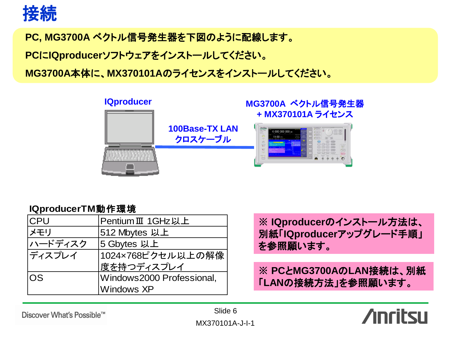

**PC, MG3700A** ベクトル信号発生器を下図のように配線します。

**PC**に**IQproducer**ソフトウェアをインストールしてください。

**MG3700A**本体に、**MX370101A**のライセンスをインストールしてください。



#### **IQproducerTM**動作環境

| <b>CPU</b> | PentiumⅢ 1GHz以上           |
|------------|---------------------------|
| リメモリ       | 512 Mbytes 以上             |
| ハードディスク    | 5 Gbytes 以上               |
| ディスプレイ     | 1024×768ピクセル以上の解像         |
|            | 度を持つディスプレイ                |
| OS.        | Windows2000 Professional, |
|            | <b>Windows XP</b>         |

**※ IQproducer**のインストール方法は、 別紙「**IQproducer**アップグレード手順」 を参照願います。

**※ PC**と**MG3700A**の**LAN**接続は、別紙 「**LAN**の接続方法」を参照願います。

Discover What's Possible™

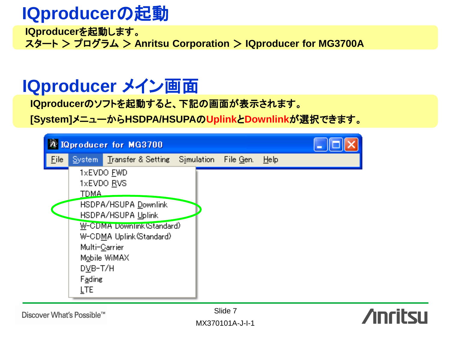### **IQproducer**の起動

**IQproducer**を起動します。 スタート > プログラム > **Anritsu Corporation** > **IQproducer for MG3700A**

#### **IQproducer** メイン画面

**IQproducer**のソフトを起動すると、下記の画面が表示されます。

**[System]**メニューから**HSDPA/HSUPA**の**Uplink**と**Downlink**が選択できます。

|       |                                                | <b>A IQproducer for MG3700</b>                                                                                                                                    |           |      |  |
|-------|------------------------------------------------|-------------------------------------------------------------------------------------------------------------------------------------------------------------------|-----------|------|--|
| File: |                                                | System Transfer & Setting Simulation                                                                                                                              | File Gen. | Help |  |
|       | <b>TDMA</b><br>DVB-T/H<br>Fading<br><b>LTE</b> | 1xEVDO FWD<br>1xEVDO RVS<br>HSDPA/HSUPA Downlink<br>HSDPA/HSUPA Uplink<br>W-CDMA Downlink (Standard)<br>W-CDMA Uplink (Standard)<br>Multi-Carrier<br>Mobile WiMAX |           |      |  |

Discover What's Possible™

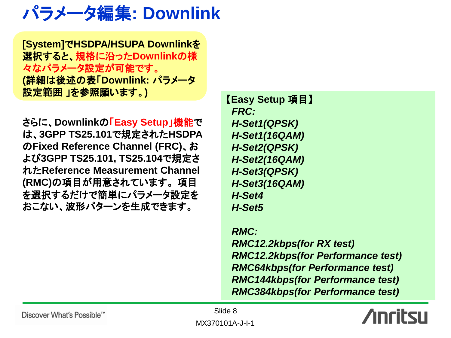### パラメータ編集**: Downlink**

**[System]**で**HSDPA/HSUPA Downlink**を 選択すると、規格に沿った**Downlink**の様 々なパラメータ設定が可能です。 **(**詳細は後述の表「**Downlink:** パラメータ 設定範囲 」を参照願います。**)**

さらに、**Downlink**の「**Easy Setup**」機能で は、**3GPP TS25.101**で規定された**HSDPA** の**Fixed Reference Channel (FRC)**、お よび**3GPP TS25.101, TS25.104**で規定さ れた**Reference Measurement Channel (RMC)**の項目が用意されています。 項目 を選択するだけで簡単にパラメータ設定を おこない、波形パターンを生成できます。

【**Easy Setup** 項目】  *FRC: H-Set1(QPSK) H-Set1(16QAM) H-Set2(QPSK) H-Set2(16QAM) H-Set3(QPSK) H-Set3(16QAM) H-Set4 H-Set5*

 *RMC: RMC12.2kbps(for RX test) RMC12.2kbps(for Performance test) RMC64kbps(for Performance test) RMC144kbps(for Performance test) RMC384kbps(for Performance test)*



Discover What's Possible™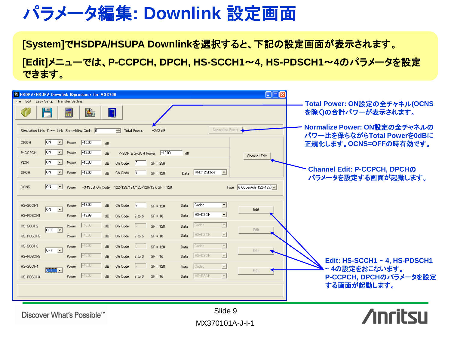### パラメータ編集**: Downlink** 設定画面

**[System]**で**HSDPA/HSUPA Downlink**を選択すると、下記の設定画面が表示されます。

**[Edit]**メニューでは、**P-CCPCH, DPCH, HS-SCCH1**~**4, HS-PDSCH1**~**4**のパラメータを設定 できます。

| A HSDP A/HSUP A Downlink IQproducer for MG3700                                                                                                                                                                                                                                                                                                                            |                                                                                                                            | $\square\square$                                                            |                                                                                                                      |
|---------------------------------------------------------------------------------------------------------------------------------------------------------------------------------------------------------------------------------------------------------------------------------------------------------------------------------------------------------------------------|----------------------------------------------------------------------------------------------------------------------------|-----------------------------------------------------------------------------|----------------------------------------------------------------------------------------------------------------------|
| File Edit Easy Setup Transfer Setting                                                                                                                                                                                                                                                                                                                                     |                                                                                                                            |                                                                             | Total Power: ON設定の全チャネル(OCNS                                                                                         |
| ۲<br>菡<br>٦<br>疆                                                                                                                                                                                                                                                                                                                                                          |                                                                                                                            |                                                                             | を除く)の合計パワーが表示されます。                                                                                                   |
| Simulation Link: Down Link Scrambling Code 0<br>ION<br>CPICH<br>$\overline{\phantom{a}}$<br>$-10.00$<br>Power<br>dB<br>ON<br>$-12.00$<br>$\vert \cdot \vert$<br>P-CCPCH<br>Power<br>dB<br>ON<br><b>PICH</b><br>$\blacktriangledown$<br>$-15.00$<br>Power<br>dB<br>Ch Code<br> ON<br>$-13.00$<br><b>DPCH</b><br>$\vert \cdot \vert$<br>Ch Code<br>Power<br>$\overline{AB}$ | Total Power:<br>$-2.63$ dB<br>P-SCH & S-SCH Power: -12.00<br>dB<br>$\vert$ <sub>2</sub><br>$SF = 256$<br> 8 <br>$SF = 128$ | Normalize Power<br>Channel Edit<br>Data RMC12.2kbps<br>$\blacktriangledown$ | Normalize Power: ON設定の全チャネルの<br>パワー比を保ちながらTotal Powerを0dBに<br>正規化します。OCNS=OFFの時有効です。<br>Channel Edit: P-CCPCH, DPCHの |
| <b>ON</b><br><b>OCNS</b><br>$\vert \cdot \vert$<br>Power                                                                                                                                                                                                                                                                                                                  | -3.43 dB Ch Code 122/123/124/125/126/127, SF = 128                                                                         | Type $6$ Codes (ch=122-127) $\blacktriangleright$                           | パラメータを設定する画面が起動します。                                                                                                  |
| $-13.00$<br>dB<br>Ch Code<br>HS-SCCH1<br>Power<br>$\overline{\phantom{a}}$<br>ION<br>$-12.99$<br>HS-PDSCH1<br>Power<br>dB                                                                                                                                                                                                                                                 | $\sqrt{9}$<br>$SF = 128$<br>Data<br>Data<br>Ch Code 2 to 6,<br>$SF = 16$                                                   | $\blacksquare$<br>Coded<br>Edit<br>$\overline{\phantom{0}}$<br>HS-DSCH      |                                                                                                                      |
| $-40.00$<br>dB<br>Ch Code<br>HS-SCCH2<br>Power<br>$OFF$ $\rightarrow$<br>$-40.00$<br>HS-PDSCH2<br>Power<br>dB<br>Ch Code                                                                                                                                                                                                                                                  | $SF = 128$<br>Data<br>Data<br>$2$ to 6.<br>$SF = 16$                                                                       | $\overline{ }$<br>Coded<br>Edit<br>$\boxed{\mathbf{v}}$<br>HS-DSCH          |                                                                                                                      |
| $-40.00$<br>HS-SCCH3<br>dB<br>Ch Code<br>Power<br>$OFF - \nabla$<br>$-40.00$<br>HS-PDSCH3<br>Power<br>dB.                                                                                                                                                                                                                                                                 | $SF = 128$<br>Data<br>$SF = 16$<br>Ch Code 2 to 6,<br>Data                                                                 | $\vert$ $\vert$<br>Coded<br>Edit<br>$\overline{ }$<br>HS-DSCH               | Edit: HS-SCCH1 ~ 4, HS-PDSCH1                                                                                        |
| $-40.00$<br>dB<br>Ch Code<br>HS-SCCH4<br>Power<br>$OFF \rightarrow$<br>$-40.00$<br>Power<br>dB.<br>HS-PDSCH4                                                                                                                                                                                                                                                              | $SF = 128$<br>Data<br>Ch Code 2 to 6, SF = 16<br>Data                                                                      | $\overline{\phantom{a}}$<br>Coded<br>Edit<br>$\overline{\nabla}$<br>HS-DSCH | 4の設定をおこないます。<br>P-CCPCH, DPCHのパラメータを設定<br>する画面が起動します。                                                                |
| Discover What's Possible™                                                                                                                                                                                                                                                                                                                                                 |                                                                                                                            | Slide 9                                                                     |                                                                                                                      |

MX370101A-J-I-1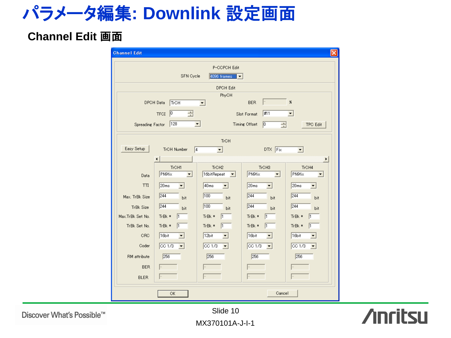### パラメータ編集**: Downlink** 設定画面

#### **Channel Edit** 画面

| <b>Channel Edit</b>           |                                        |                                          |                                             | $\times$                                |
|-------------------------------|----------------------------------------|------------------------------------------|---------------------------------------------|-----------------------------------------|
|                               |                                        | P-CCPCH Edit                             |                                             |                                         |
|                               | SFN Cycle                              | $4096$ frames $\sqrt{\bullet}$           |                                             |                                         |
|                               |                                        | <b>DPCH Edit</b>                         |                                             |                                         |
|                               | DPCH Data<br>TrCH                      | PhyCH<br>$\blacktriangledown$            | <b>BER</b>                                  | 86                                      |
|                               | $\sqrt{2}$<br>른<br><b>TFCI</b>         |                                          | #11<br>Slot Format                          | $\blacktriangledown$                    |
| Spreading Factor              | 128<br>▼                               |                                          | Timing Offset<br> 0                         | <b>TPC Edit</b>                         |
|                               |                                        |                                          | ÷                                           |                                         |
|                               |                                        | <b>TrCH</b>                              |                                             |                                         |
| Easy Setup                    | TrCH Number<br>$\sqrt{4}$              | ▾                                        | $DTX$ Fix                                   | $\vert$                                 |
|                               |                                        |                                          |                                             | ۲                                       |
| Data                          | TrCH1<br>PN9fix<br>$\vert \cdot \vert$ | TrCH <sub>2</sub><br>16bitRepeat<br>▾    | TrCH3<br>PN9fix<br>$\overline{\phantom{a}}$ | TrCH4<br>PN9fix<br>$\blacktriangledown$ |
| $\Pi$                         | 20ms<br>▾                              | 40 <sub>ms</sub><br>$\blacktriangledown$ | 20ms<br>$\blacktriangledown$                | 20ms<br>$\blacktriangledown$            |
|                               | 244                                    | 100                                      | 244                                         | 244                                     |
| Max. TrBk Size                | bit<br>244                             | bit<br>100                               | bit<br>$\sqrt{244}$                         | bit<br>$\sqrt{244}$                     |
| TrBk Size<br>Max.TrBk Set No. | bit<br>TrBk *<br>I1                    | bit<br>TrBk *<br>$\vert$ 1               | bit<br>TrBk *<br>$\vert$ 1                  | bit<br>TrBk *<br>I1                     |
| TrBk Set No.                  | TrBk *<br>I1.                          | TrBk *<br>$\vert$ 1                      | TrBk *<br>I1                                | TrBk *<br>l1                            |
| CRC                           | 16bit<br>$\overline{\phantom{a}}$      | 12bit<br>▾╎                              | 16bit<br>▾                                  | 16bit<br>$\blacktriangledown$           |
| Coder                         | CC1/3<br>▾                             | CC1/3<br>▾                               | CC1/3<br>▾                                  | CC1/3<br>▼                              |
| RM attribute                  | 256                                    | 256                                      | 256                                         | 256                                     |
| <b>BER</b>                    |                                        |                                          |                                             |                                         |
| <b>BLER</b>                   |                                        |                                          |                                             |                                         |
|                               |                                        |                                          |                                             |                                         |
|                               | OK                                     |                                          | Cancel                                      |                                         |

**Anritsu** 

Discover What's Possible™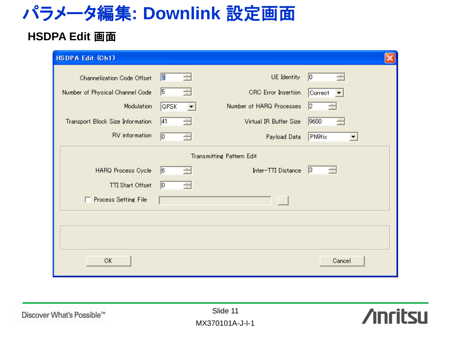### パラメータ編集**: Downlink** 設定画面

#### **HSDPA Edit** 画面

| Channelization Code Offset       | Ø<br>÷           | UE Identity                                            | 0 <br>÷                   |
|----------------------------------|------------------|--------------------------------------------------------|---------------------------|
| Number of Physical Channel Code  | $\sqrt{5}$<br>÷  | <b>CRC</b> Error Insertion                             | Correct                   |
| Modulation                       | <b>QPSK</b><br>▾ | Number of HARQ Processes                               | $\vert$ <sub>2</sub><br>÷ |
| Transport Block Size Information | 41<br>÷          | Virtual IR Buffer Size                                 | 9600<br>÷                 |
| RV information                   | $\sqrt{a}$<br>÷  | Payload Data                                           | PN9fix                    |
| HARQ Process Cycle               | $\sqrt{6}$<br>÷  | <b>Transmitting Pattern Edit</b><br>Inter-TTI Distance | 3 <br>÷                   |
| TTI Start Offset                 | $\sqrt{0}$<br>÷  |                                                        |                           |
| □ Process Setting File           |                  | $\sim$                                                 |                           |
|                                  |                  |                                                        |                           |
|                                  |                  |                                                        |                           |
| OK                               |                  |                                                        | Cancel                    |

Discover What's Possible™

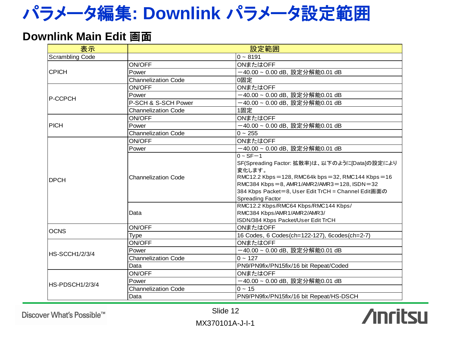### パラメータ編集**: Downlink** パラメータ設定範囲

#### **Downlink Main Edit 画面**

| 表示                     | 設定範囲                               |                                                                                                                                                                                                                                                                                                                                                                                      |  |
|------------------------|------------------------------------|--------------------------------------------------------------------------------------------------------------------------------------------------------------------------------------------------------------------------------------------------------------------------------------------------------------------------------------------------------------------------------------|--|
| <b>Scrambling Code</b> |                                    | $0 - 8191$                                                                                                                                                                                                                                                                                                                                                                           |  |
|                        | ON/OFF                             | ONまたはOFF                                                                                                                                                                                                                                                                                                                                                                             |  |
| <b>CPICH</b>           | Power                              | -40.00~0.00 dB, 設定分解能0.01 dB                                                                                                                                                                                                                                                                                                                                                         |  |
|                        | <b>Channelization Code</b>         | 0固定                                                                                                                                                                                                                                                                                                                                                                                  |  |
|                        | ON/OFF                             | ONまたはOFF                                                                                                                                                                                                                                                                                                                                                                             |  |
| <b>P-CCPCH</b>         | Power                              | -40.00~0.00 dB, 設定分解能0.01 dB                                                                                                                                                                                                                                                                                                                                                         |  |
|                        | P-SCH & S-SCH Power                | -40.00~0.00 dB, 設定分解能0.01 dB                                                                                                                                                                                                                                                                                                                                                         |  |
|                        | <b>Channelization Code</b>         | 1固定                                                                                                                                                                                                                                                                                                                                                                                  |  |
|                        | ON/OFF                             | ONまたはOFF                                                                                                                                                                                                                                                                                                                                                                             |  |
| <b>PICH</b>            | Power                              | -40.00~0.00 dB, 設定分解能0.01 dB                                                                                                                                                                                                                                                                                                                                                         |  |
|                        | <b>Channelization Code</b>         | $0 \sim 255$                                                                                                                                                                                                                                                                                                                                                                         |  |
|                        | ON/OFF                             | ONまたはOFF                                                                                                                                                                                                                                                                                                                                                                             |  |
|                        | Power                              | -40.00~0.00 dB, 設定分解能0.01 dB                                                                                                                                                                                                                                                                                                                                                         |  |
| <b>DPCH</b>            | <b>Channelization Code</b><br>Data | $0 - SF - 1$<br>SF(Spreading Factor: 拡散率)は、以下のように[Data]の設定により<br>変化します。<br>RMC12.2 Kbps = 128, RMC64k bps = 32, RMC144 Kbps = 16<br>RMC384 Kbps = 8, AMR1/AMR2/AMR3 = 128, ISDN = 32<br>384 Kbps Packet=8, User Edit TrCH = Channel Edit画面の<br><b>Spreading Factor</b><br>RMC12.2 Kbps/RMC64 Kbps/RMC144 Kbps/<br>RMC384 Kbps/AMR1/AMR2/AMR3/<br>ISDN/384 Kbps Packet/User Edit TrCH |  |
| <b>OCNS</b>            | ON/OFF                             | ONまたはOFF                                                                                                                                                                                                                                                                                                                                                                             |  |
|                        | Type                               | 16 Codes, 6 Codes(ch=122-127), 6codes(ch=2-7)                                                                                                                                                                                                                                                                                                                                        |  |
|                        | ON/OFF                             | ONまたはOFF                                                                                                                                                                                                                                                                                                                                                                             |  |
| <b>HS-SCCH1/2/3/4</b>  | Power                              | -40.00~0.00 dB, 設定分解能0.01 dB                                                                                                                                                                                                                                                                                                                                                         |  |
|                        | <b>Channelization Code</b>         | $0 - 127$                                                                                                                                                                                                                                                                                                                                                                            |  |
|                        | Data                               | PN9/PN9fix/PN15fix/16 bit Repeat/Coded                                                                                                                                                                                                                                                                                                                                               |  |
|                        | ON/OFF                             | ONまたはOFF                                                                                                                                                                                                                                                                                                                                                                             |  |
| HS-PDSCH1/2/3/4        | Power                              | -40.00~0.00 dB, 設定分解能0.01 dB                                                                                                                                                                                                                                                                                                                                                         |  |
|                        | <b>Channelization Code</b>         | $0 - 15$                                                                                                                                                                                                                                                                                                                                                                             |  |
|                        | Data                               | PN9/PN9fix/PN15fix/16 bit Repeat/HS-DSCH                                                                                                                                                                                                                                                                                                                                             |  |

Discover What's Possible™

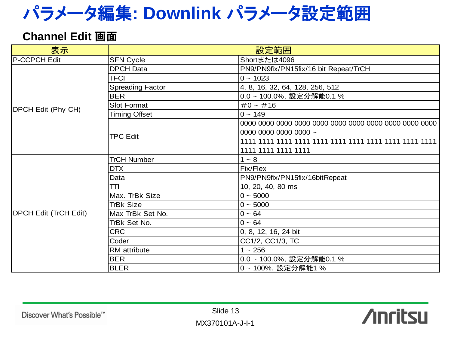### パラメータ編集**: Downlink** パラメータ設定範囲

#### **Channel Edit** 画面

| 表示                           | 設定範囲                    |                                       |  |
|------------------------------|-------------------------|---------------------------------------|--|
| P-CCPCH Edit                 | <b>SFN Cycle</b>        | Shortまたは4096                          |  |
|                              | <b>DPCH Data</b>        | PN9/PN9fix/PN15fix/16 bit Repeat/TrCH |  |
|                              | <b>TFCI</b>             | $0 - 1023$                            |  |
|                              | <b>Spreading Factor</b> | 4, 8, 16, 32, 64, 128, 256, 512       |  |
|                              | <b>BER</b>              | 0.0~100.0%, 設定分解能0.1%                 |  |
| <b>DPCH Edit (Phy CH)</b>    | <b>Slot Format</b>      | $#0 - #16$                            |  |
|                              | <b>Timing Offset</b>    | $0 - 149$                             |  |
|                              |                         |                                       |  |
|                              | <b>TPC Edit</b>         | 0000 0000 0000 0000 ~                 |  |
|                              |                         |                                       |  |
|                              |                         | 1111 1111 1111 1111                   |  |
|                              | <b>TrCH Number</b>      | $1 - 8$                               |  |
|                              | <b>DTX</b>              | Fix/Flex                              |  |
|                              | Data                    | PN9/PN9fix/PN15fix/16bitRepeat        |  |
|                              | TΠ                      | 10, 20, 40, 80 ms                     |  |
|                              | Max. TrBk Size          | $0 - 5000$                            |  |
|                              | <b>TrBk Size</b>        | $0 - 5000$                            |  |
| <b>DPCH Edit (TrCH Edit)</b> | Max TrBk Set No.        | $0 - 64$                              |  |
|                              | TrBk Set No.            | $0 - 64$                              |  |
|                              | <b>CRC</b>              | 0, 8, 12, 16, 24 bit                  |  |
|                              | Coder                   | CC1/2, CC1/3, TC                      |  |
|                              | RM attribute            | $1 - 256$                             |  |
|                              | <b>BER</b>              | 0.0~100.0%, 設定分解能0.1%                 |  |
|                              | <b>BLER</b>             | 0~100%,設定分解能1%                        |  |

Discover What's Possible™

**Anritsu**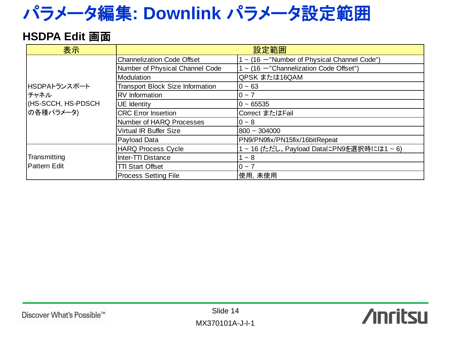### パラメータ編集**: Downlink** パラメータ設定範囲

#### **HSDPA Edit** 画面

| 表示                  |                                         | 設定範囲                                            |
|---------------------|-----------------------------------------|-------------------------------------------------|
|                     | <b>Channelization Code Offset</b>       | $\sim$ (16 - "Number of Physical Channel Code") |
|                     | Number of Physical Channel Code         | $\sim$ (16 -"Channelization Code Offset")       |
|                     | Modulation                              | QPSK または16QAM                                   |
| HSDPAトランスポート        | <b>Transport Block Size Information</b> | $0 - 63$                                        |
| チャネル                | <b>RV</b> Information                   | $0 - 7$                                         |
| (HS-SCCH, HS-PDSCH  | UE Identity                             | $0 - 65535$                                     |
| の各種パラメータ)           | <b>CRC</b> Error Insertion              | Correct またはFail                                 |
|                     | Number of HARQ Processes                | $0 - 8$                                         |
|                     | <b>Virtual IR Buffer Size</b>           | $800 - 304000$                                  |
|                     | Payload Data                            | PN9/PN9fix/PN15fix/16bitRepeat                  |
|                     | <b>HARQ Process Cycle</b>               | ~ 16 (ただし、Payload DataにPN9を選択時には1~6)            |
| Transmitting        | <b>Inter-TTI Distance</b>               | $~1$ 8                                          |
| <b>Pattern Edit</b> | <b>TTI Start Offset</b>                 | $0 \sim 7$                                      |
|                     | <b>Process Setting File</b>             | 使用,未使用                                          |
|                     |                                         |                                                 |

**Anritsu**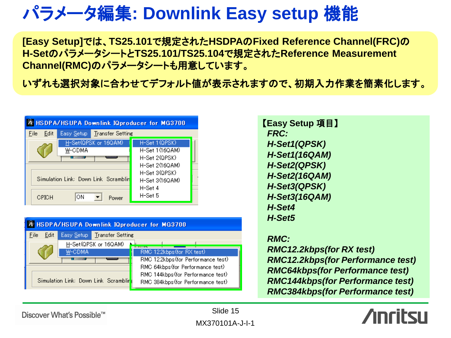### パラメータ編集**: Downlink Easy setup** 機能

**[Easy Setup]**では、**TS25.101**で規定された**HSDPA**の**Fixed Reference Channel(FRC)**の **H-Set**のパラメータシートと**TS25.101/TS25.104**で規定された**Reference Measurement Channel(RMC)**のパラメータシートも用意しています。

いずれも選択対象に合わせてデフォルト値が表示されますので、初期入力作業を簡素化します。

| <b>HSDPA/HSUPA Downlink IQproducer for MG3700</b> |                                      |                |  |  |
|---------------------------------------------------|--------------------------------------|----------------|--|--|
| Edit<br>File                                      | Easy Setup   Transfer Setting        |                |  |  |
|                                                   | H-Set(QPSK or 16QAM)                 | H-Set 1 (QPSK) |  |  |
|                                                   | W-CDMA                               | H-Set 1(16QAM) |  |  |
|                                                   |                                      | H-Set 2(QPSK). |  |  |
|                                                   |                                      | H-Set 2(16QAM) |  |  |
|                                                   |                                      | H-Set 3(QPSK)  |  |  |
|                                                   | Simulation Link: Down Link Scramblin | H-Set 3(16QAM) |  |  |
|                                                   |                                      | $H$ -Set 4     |  |  |
| CPICH                                             | ΟN<br>Power                          | $H-Set5$       |  |  |

|                                       | A HSDPA/HSUPA Downlink IQproducer for MG3700 |                                    |                                                                        |  |  |
|---------------------------------------|----------------------------------------------|------------------------------------|------------------------------------------------------------------------|--|--|
| Edit<br>File                          |                                              | <b>Easy Setup</b> Transfer Setting |                                                                        |  |  |
|                                       | W-CDMA                                       | H-Set(QPSK or 16QAM)               | RMC 12.2kbps (for RX test)                                             |  |  |
|                                       |                                              |                                    | RMC 12.2kbps(for Performance test)<br>RMC 64kbps(for Performance test) |  |  |
| Simulation Link: Down Link Scrambling |                                              |                                    | RMC 144kbps(for Performance test)<br>RMC 384kbps(for Performance test) |  |  |

【**Easy Setup** 項目】  *FRC: H-Set1(QPSK) H-Set1(16QAM) H-Set2(QPSK) H-Set2(16QAM) H-Set3(QPSK) H-Set3(16QAM) H-Set4 H-Set5*

#### *RMC:*

 *RMC12.2kbps(for RX test) RMC12.2kbps(for Performance test) RMC64kbps(for Performance test) RMC144kbps(for Performance test) RMC384kbps(for Performance test)*



Discover What's Possible™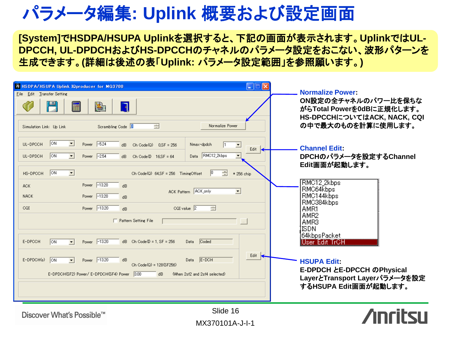#### パラメータ編集**: Uplink** 概要および設定画面

**[System]**で**HSDPA/HSUPA Uplink**を選択すると、下記の画面が表示されます。**Uplink**では**UL-DPCCH, UL-DPDCH**および**HS-DPCCH**のチャネルのパラメータ設定をおこない、波形パターンを 生成できます。**(**詳細は後述の表「**Uplink:** パラメータ設定範囲」を参照願います。**)** 

| A HSDP A/HSUPA Uplink IQproducer for MG3700<br>File Edit Transfer Setting<br>酟<br>$\Box$<br>급<br>Scrambling Code  <br>Simulation Link: Up Link                                                                                                                         | $\Box$ $\Box$ $\times$<br>Normalize Power                                                                                       | <b>Normalize Power:</b><br>ON設定の全チャネルのパワー比を保ちな<br>がらTotal Powerを0dBに正規化します。<br>HS-DPCCHについてはACK, NACK, CQI<br>の中で最大のものを計算に使用します。                                   |
|------------------------------------------------------------------------------------------------------------------------------------------------------------------------------------------------------------------------------------------------------------------------|---------------------------------------------------------------------------------------------------------------------------------|--------------------------------------------------------------------------------------------------------------------------------------------------------------------|
| ON<br>Power $\boxed{-5.24}$<br>UL-DPCCH<br>▾<br>Ch Code $(Q)$ 0.SF = 256<br>dB.<br> ON<br>Power $\boxed{-2.54}$<br>UL-DPDCH<br>$\blacksquare$<br>Ch Code $\textcircled{1}$ 16.SF = 64<br>$\overline{AB}$<br> ON<br>$\blacksquare$<br>HS-DPCCH                          | Nmax-dpdch<br>$\blacktriangledown$<br>Edit<br>Data RMC12_2kbps<br> 0 <br>급<br>Ch Code(Q) 64.SF = 256 TimingOffset<br>* 256 chip | <b>Channel Edit</b><br>DPCHのパラメータを設定するChannel<br>Edit画面が起動します。                                                                                                     |
| Power -13.20<br>ACK.<br>dB<br>Power -13.20<br><b>NACK</b><br>$\overline{d}R$<br>Power -13.20<br>CQI<br>dB<br>Pattern Setting File                                                                                                                                      | ACK Pattern ACK_only<br>▾<br>CQI value $\sqrt{2}$<br>゠                                                                          | RMC12 2kbps<br>RMC64kbps<br>RMC144kbps<br>RMC384kbps<br>AMR1<br>AMR2<br>AMR3                                                                                       |
| Power -13.20<br>E-DPCCH<br>$\sqrt{on}$<br>$dB$ Ch Code $\textcircled{1}$ = 1, SF = 256<br>$\vert \cdot \vert$<br>E-DPDCH(s)<br>$\sqrt{on}$<br>Power -13.20<br>$\vert \cdot \vert$<br>dB<br>Ch Code(Q) = 128(SF256)<br>E-DPDCH(SF2) Power/E-DPDCH(SF4) Power 3.00<br>dB | Coded<br>Data<br>Edit<br>$E-DOH$<br>Data<br>(When 2sf2 and 2sf4 selected)                                                       | <b>ISDN</b><br>64kbpsPacket<br>User Edit TrOH<br><b>HSUPA Edit:</b><br><b>E-DPDCH とE-DPCCH のPhysical</b><br>LayerとTransport Layerパラメータを設定<br>するHSUPA Edit画面が起動します。 |
| Discover What's Possible™                                                                                                                                                                                                                                              | Slide 16<br>MX370101A-J-I-1                                                                                                     |                                                                                                                                                                    |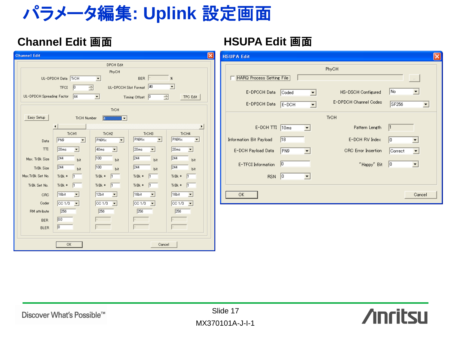### パラメータ編集**: Uplink** 設定画面

#### **Channel Edit** 画面 **HSUPA Edit** 画面

| <b>Channel Edit</b>       |                                   |                                   |                                                      |                                   | ×<br><b>HSU</b> |
|---------------------------|-----------------------------------|-----------------------------------|------------------------------------------------------|-----------------------------------|-----------------|
|                           |                                   | <b>DPCH Edit</b>                  |                                                      |                                   |                 |
|                           |                                   | PhyCH                             |                                                      |                                   |                 |
|                           | UL-DPDCH Data TrCH                | $\blacktriangledown$              | BER                                                  | $\%$                              |                 |
|                           | $\sqrt{a}$<br><b>TFCI</b>         | Ξ                                 | UL-DPCCH Slot Format 40                              | $\blacktriangledown$              |                 |
| UL-DPDCH Spreading Factor | 64                                | ▾                                 | 골<br>Timing Offset $\begin{bmatrix} 0 \end{bmatrix}$ | <b>TPC Edit</b>                   |                 |
|                           |                                   |                                   |                                                      |                                   |                 |
|                           |                                   | TrCH                              |                                                      |                                   |                 |
| Easy Setup                | TrCH Number                       | E<br>$\overline{\phantom{a}}$     |                                                      |                                   |                 |
|                           |                                   |                                   |                                                      | Þ                                 |                 |
|                           | TrCH1                             | TrCH <sub>2</sub>                 | TrCH3                                                | TrCH4                             |                 |
| Data                      | PN9<br>$\blacktriangledown$       | PN9fix<br>$\blacktriangledown$    | PN9fix<br>$\blacktriangledown$                       | PN9fix<br>$\blacktriangledown$    |                 |
| $\Pi$                     | 20ms<br>▾                         | 40 <sub>ms</sub><br>$\vert$       | 20ms<br>▾                                            | 20ms<br>▾                         |                 |
| Max. TrBk Size            | 244                               | 100                               | 244                                                  | 244                               |                 |
|                           | bit<br>244                        | bit<br>100                        | bit<br>244                                           | bit<br>244                        |                 |
| TrBk Size                 | bit                               | <b>bit</b>                        | bit                                                  | bit                               |                 |
| Max.TrBk Set No.          | TrBk *                            | TrBk *<br>l1                      | TrBk *                                               | TrBk *<br>l1                      |                 |
| TrBk Set No.              | $TrBk *$<br>I1                    | TrBk *<br>$\mathsf{I}$            | TrBk *<br>$\mathbf{I}$                               | TrBk *<br>$\vert$ 1               |                 |
| CRC                       | 16bit<br>$\blacktriangledown$     | 12bit<br>$\overline{\phantom{a}}$ | 16bit<br>$\overline{\phantom{a}}$                    | 16bit<br>$\overline{\phantom{a}}$ |                 |
| Coder                     | CC1/3<br>$\overline{\phantom{0}}$ | CC1/3<br>$\overline{\phantom{a}}$ | CC1/3<br>$\overline{\phantom{0}}$                    | CC1/3<br>$\overline{\phantom{0}}$ |                 |
| RM attribute              | 256                               | 256                               | 256                                                  | 256                               |                 |
| <b>BER</b>                | 0.0                               |                                   |                                                      |                                   |                 |
| <b>BLER</b>               | $\sqrt{a}$                        |                                   |                                                      |                                   |                 |
|                           |                                   |                                   |                                                      |                                   |                 |
|                           |                                   |                                   |                                                      |                                   |                 |
|                           | OK                                |                                   | Cancel                                               |                                   |                 |

| <b>HSUPA Edit</b>         |       |                            |            |  |  |
|---------------------------|-------|----------------------------|------------|--|--|
| PhyCH                     |       |                            |            |  |  |
| HARQ Process Setting File |       |                            | $\sim$ 100 |  |  |
| E-DPCCH Data              | Coded | HS-DSCH Configured         | No.        |  |  |
| E-DPDCH Data              | E-DCH | E-DPDCH Channel Codes      | SF256      |  |  |
|                           |       | <b>TrCH</b>                |            |  |  |
| E-DCH TTI                 | 10ms  | Pattern Length             | 1          |  |  |
| Information Bit Payload   | 18    | E-DCH RV Index             | lo.        |  |  |
| E-DCH Payload Data        | PN9   | <b>CRC</b> Error Insertion | Correct    |  |  |
| E-TFCI Information        | 0     | "Happy" Bit                | 10<br>▼    |  |  |
| <b>RSN</b>                | 0     |                            |            |  |  |
| 0K                        |       |                            | Cancel     |  |  |

**Anritsu**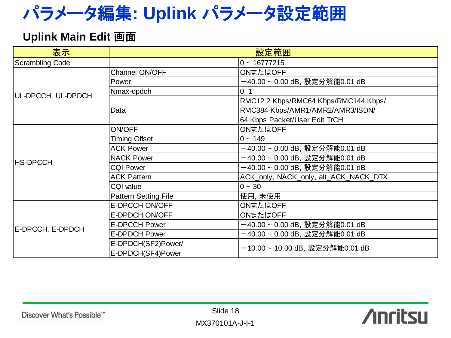### パラメータ編集**: Uplink** パラメータ設定範囲

#### **Uplink Main Edit** 画面

| 表示                     | 設定範囲                        |                                       |  |
|------------------------|-----------------------------|---------------------------------------|--|
| <b>Scrambling Code</b> | $0 - 16777215$              |                                       |  |
|                        | Channel ON/OFF              | ONまたはOFF                              |  |
|                        | Power                       | -40.00 ~ 0.00 dB, 設定分解能0.01 dB        |  |
| UL-DPCCH, UL-DPDCH     | Nmax-dpdch                  | 0, 1                                  |  |
|                        |                             | RMC12.2 Kbps/RMC64 Kbps/RMC144 Kbps/  |  |
|                        | Data                        | RMC384 Kbps/AMR1/AMR2/AMR3/ISDN/      |  |
|                        |                             | 64 Kbps Packet/User Edit TrCH         |  |
|                        | ON/OFF                      | ONまたはOFF                              |  |
|                        | <b>Timing Offset</b>        | $0 - 149$                             |  |
|                        | <b>ACK Power</b>            | -40.00 ~ 0.00 dB, 設定分解能0.01 dB        |  |
| <b>HS-DPCCH</b>        | <b>NACK Power</b>           | -40.00 ~ 0.00 dB, 設定分解能0.01 dB        |  |
|                        | <b>CQI Power</b>            | -40.00 ~ 0.00 dB, 設定分解能0.01 dB        |  |
|                        | <b>ACK Pattern</b>          | ACK_only, NACK_only, alt_ACK_NACK_DTX |  |
|                        | CQI value                   | $0 - 30$                              |  |
|                        | <b>Pattern Setting File</b> | 使用,未使用                                |  |
|                        | E-DPCCH ON/OFF              | ONまたはOFF                              |  |
|                        | E-DPDCH ON/OFF              | ONまたはOFF                              |  |
| E-DPCCH, E-DPDCH       | <b>E-DPCCH Power</b>        | -40.00 ~ 0.00 dB, 設定分解能0.01 dB        |  |
|                        | <b>E-DPDCH Power</b>        | -40.00 ~ 0.00 dB, 設定分解能0.01 dB        |  |
|                        | E-DPDCH(SF2)Power/          | 一10.00 ~ 10.00 dB, 設定分解能0.01 dB       |  |
|                        | E-DPDCH(SF4)Power           |                                       |  |

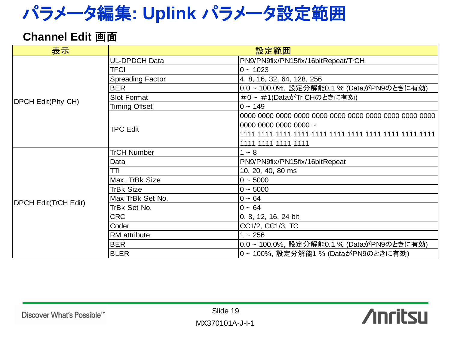### パラメータ編集**: Uplink** パラメータ設定範囲

#### **Channel Edit** 画面

| 表示                          | 設定範囲                    |                                         |  |
|-----------------------------|-------------------------|-----------------------------------------|--|
|                             | <b>UL-DPDCH Data</b>    | PN9/PN9fix/PN15fix/16bitRepeat/TrCH     |  |
|                             | <b>TFCI</b>             | $0 - 1023$                              |  |
|                             | <b>Spreading Factor</b> | 4, 8, 16, 32, 64, 128, 256              |  |
|                             | <b>BER</b>              | 0.0~100.0%, 設定分解能0.1 % (DataがPN9のときに有効) |  |
| <b>DPCH Edit(Phy CH)</b>    | Slot Format             | #0~#1(DataがTr CHのときに有効)                 |  |
|                             | <b>Timing Offset</b>    | $0 - 149$                               |  |
|                             |                         |                                         |  |
|                             | <b>TPC Edit</b>         | 0000 0000 0000 0000 ~                   |  |
|                             |                         |                                         |  |
|                             |                         | 1111 1111 1111 1111                     |  |
|                             | <b>TrCH Number</b>      | $1 - 8$                                 |  |
|                             | Data                    | PN9/PN9fix/PN15fix/16bitRepeat          |  |
|                             | TΠ                      | 10, 20, 40, 80 ms                       |  |
|                             | Max. TrBk Size          | $0 - 5000$                              |  |
|                             | <b>TrBk Size</b>        | $0 - 5000$                              |  |
| <b>DPCH Edit(TrCH Edit)</b> | Max TrBk Set No.        | $0 - 64$                                |  |
|                             | TrBk Set No.            | $0 - 64$                                |  |
|                             | <b>CRC</b>              | 0, 8, 12, 16, 24 bit                    |  |
|                             | Coder                   | CC1/2, CC1/3, TC                        |  |
|                             | RM attribute            | $1 - 256$                               |  |
|                             | <b>BER</b>              | 0.0~100.0%, 設定分解能0.1% (DataがPN9のときに有効)  |  |
|                             | <b>BLER</b>             | 0~100%,設定分解能1% (DataがPN9のときに有効)         |  |

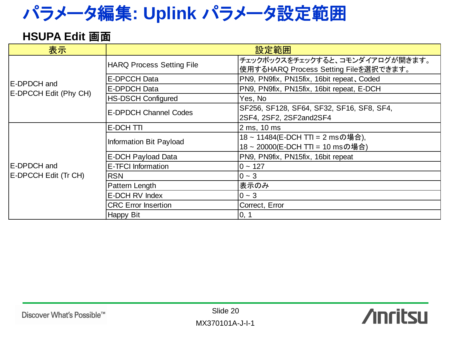### パラメータ編集**: Uplink** パラメータ設定範囲

#### **HSUPA Edit** 画面

| 表示                    | 設定範囲                             |                                                                          |  |
|-----------------------|----------------------------------|--------------------------------------------------------------------------|--|
|                       | <b>HARQ Process Setting File</b> | チェックボックスをチェックすると、コモンダイアログが開きます。<br>使用するHARQ Process Setting Fileを選択できます。 |  |
| E-DPDCH and           | E-DPCCH Data                     | PN9, PN9fix, PN15fix, 16bit repeat, Coded                                |  |
| E-DPCCH Edit (Phy CH) | E-DPDCH Data                     | PN9, PN9fix, PN15fix, 16bit repeat, E-DCH                                |  |
|                       | <b>HS-DSCH Configured</b>        | Yes, No                                                                  |  |
|                       | <b>E-DPDCH Channel Codes</b>     | SF256, SF128, SF64, SF32, SF16, SF8, SF4,<br>2SF4, 2SF2, 2SF2and2SF4     |  |
|                       | E-DCH TTI                        | 2 ms, 10 ms                                                              |  |
|                       | Information Bit Payload          | 18~11484(E-DCH TTI = 2 msの場合),<br>18~20000(E-DCH TTI = 10 msの場合)         |  |
|                       | E-DCH Payload Data               | PN9, PN9fix, PN15fix, 16bit repeat                                       |  |
| E-DPDCH and           | <b>E-TFCI Information</b>        | $0 - 127$                                                                |  |
| E-DPCCH Edit (Tr CH)  | <b>RSN</b>                       | $0 - 3$                                                                  |  |
|                       | Pattern Length                   | 表示のみ                                                                     |  |
|                       | E-DCH RV Index                   | $0 - 3$                                                                  |  |
|                       | <b>CRC Error Insertion</b>       | Correct, Error                                                           |  |
|                       | Happy Bit                        | 0, 1                                                                     |  |

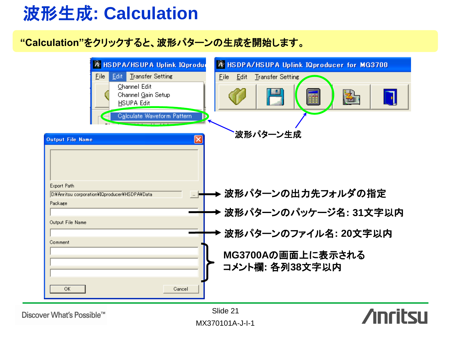### 波形生成**: Calculation**

#### **"Calculation"**をクリックすると、波形パターンの生成を開始します。



Discover What's Possible™

MX370101A-J-I-1 Slide 21

**Anritsu**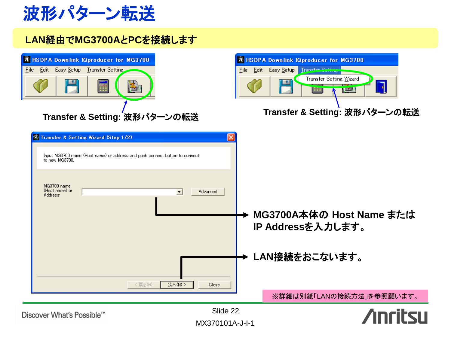波形パターン転送

#### **LAN**経由で**MG3700A**と**PC**を接続します

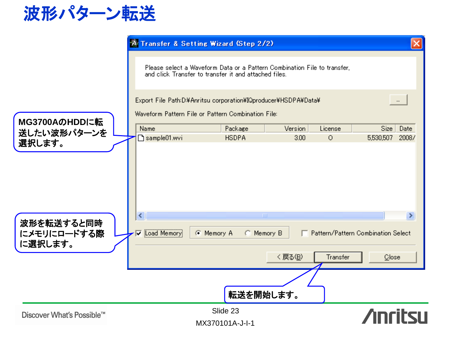

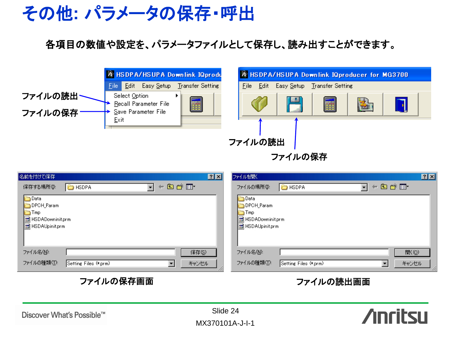

#### 各項目の数値や設定を、パラメータファイルとして保存し、読み出すことができます。

|                     | <b>A HSDPA/HSUPA Downlink IQprodu</b>                         | A HSDPA/HSUPA Downlink IQproducer for MG3700    |  |  |
|---------------------|---------------------------------------------------------------|-------------------------------------------------|--|--|
|                     | Easy <u>S</u> etup<br>Transfer Setting<br>Edit.<br>Eile:      | Edit<br>Easy Setup<br>File:<br>Transfer Setting |  |  |
| ファイルの読出~<br>ファイルの保存 | Select Option<br>Recall Parameter File<br>Save Parameter File | 卜<br>壽                                          |  |  |
|                     | Exit                                                          |                                                 |  |  |

ファイルの読出 |

ファイルの保存

| 名前を付けて保存                                                                           | 7X | 7X<br>ファイルを開く                                                                     |   |
|------------------------------------------------------------------------------------|----|-----------------------------------------------------------------------------------|---|
| ←国合画・<br>保存する場所(1):<br><b>E</b> HSDPA<br>▾                                         |    | 白色的画<br>ファイルの場所(0)<br><b>B</b> HSDPA<br>$\blacktriangledown$<br>⇚                 |   |
| <b>D</b> ata<br>DPCH_Param<br>Tmp<br><b>同</b> HSDADowninit.prm<br>同 HSDAUpinit.prm |    | Data<br>DPCH_Param<br><b>□</b> Tmp<br><b>同</b> HSDADowninit.prm<br>HSDAUpinit.prm |   |
| ファイル名(N):<br>保存(S)                                                                 |    | ファイル名(N):<br>厭◎                                                                   |   |
| ファイルの種類(T):<br>キャンセル<br>Setting Files (*.prm)                                      | m  | ファイルの種類(I):<br>キャンセル<br>Setting Files (*.prm)                                     | n |

#### ファイルの保存画面 ファイルの読出画面